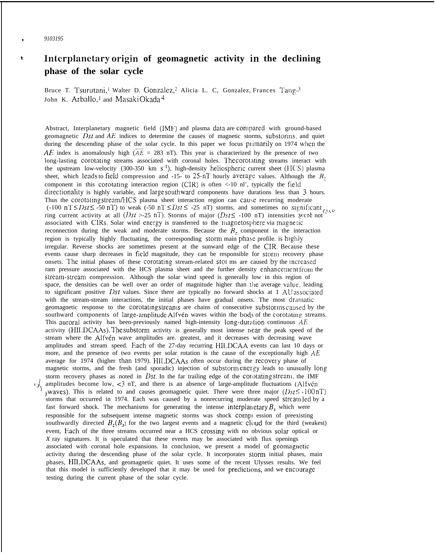#### <sup>9</sup> *9103195*

# <sup>t</sup> **Inierpkmetary origin of geomagnetic activity in the declining phase of the solar cycle**

Bruce T. Tsurutani,<sup>1</sup> Walter D. Gonzalez,<sup>2</sup> Alicia L. C, Gonzalez, Frances Tang.<sup>3</sup> John K. Arballo,<sup>1</sup> and Masaki Okada<sup>4</sup>

Abstract, Interplanetary magnetic field (IMF) and plasma data are contpared with ground-based geomagnetic *Dst* and  $AE$  indices to determine the causes of magnetic storms, substortins, and quiet during the descending phase of the solar cycle. In this paper we focus primarily on 1974 when the *AE* index is anomalously high ( $\overline{AE}$  = 283 nT). This year is characterized by the presence of two long-lasting corotating streams associated with coronal holes. The corotating streams interact with the upstream low-velocity (300-350 km s<sup>-1</sup>), high-density heliospheric current sheet ( $HCS$ ) plasma sheet, which leads to field compression and  $-15$ - to  $25$ -nT hourly average values. Although the B. component in this corotating interaction region (CIR) is often  $\langle$ -10 nl', typically the field directionality is highly variable, and large southward components have durations less than 3 hours. Thus the corotating stream/HCS plasma sheet interaction region can cause recurring moderate (-100 nT  $\leq$  Dst  $\leq$  -50 nT) to weak (-50 nT  $\leq$  Dst  $\leq$  -25 nT) storms, and sometimes no significant  $_{\text{C_A}}$ , ring current activity at all (Dst >-25 nT). Storms of major (Dst  $\leq$  -100 nT) intensities were not associated with CIRs. Solar wind energy is transferred to the magnetosphere via magnetic reconnection during the weak and moderate storms. Because the  $B$ , component in the interaction region is typically highly fluctuating, the corresponding storm main phase profile. is highly irregular. Reverse shocks are sometimes present at the sunward edge of the CIR. Because these events cause sharp decreases in field magnitude, they can be responsible for storm recovery phase onsets. The initial phases of these corotating stream-related storm is are caused by the increased ram pressure associated with the HCS plasma sheet and the further density enhancement from the strearn-strearn compression. Although the solar wind speed is generally low in this region of space, the densities can be well over an order of magnitude higher than the average value, leading to significant positive  $Dst$  values. Since there are typically no forward shocks at 1 AU associated with the stream-stream interactions, the initial phases have gradual onsets. The most dramatic geomagnetic response to the corotating streanis are chains of consecutive substorms caused by the southward components of large-amplitude Alfvén waves within the body of the corotating streams. This auroral activity has been-previously named high-intensity long-duration continuous  $AE$ activity (HILDCAAs). The substorm activity is generally most intense the rear the peak speed of the stream where the Alfvén wave amplitudes are. greatest, and it decreases with decreasing wave amplitudes and stream speed. Each of the 27-day recurring HILDCAA events can last 10 days or more, and the presence of two events per solar rotation is the cause of the exceptionally high  $AE$ average for 1974 (higher than 1979). HILDCAAs often occur during the recovery phase of magnetic storms, and the fresh (and sporadic) injection of substorrn energy leads to unusually long storm recovery phases as noted in Dst. In the far trailing edge of the corotating stream, the IMF amplitudes become low,  $\lt 3$  nT, and there is an absence of large-amplitude fluctuations (Alfvén waves). This is related to and causes geomagnetic quiet. There were three major ( $Dst \leq -100 \text{ nT}$ ) storms that occurred in 1974. Each was caused by a nonrecurring moderate speed streatnled by a fast forward shock. The mechanisms for generating the intense interplatetary  $B_5$ , which were responsible for the subsequent intense magnetic storms was shock compl ession of preexisting southwardly directed  $B_z(B_s)$  for the two largest events and a magnetic cloud for the third (weakest) event, Each of the three streams occurred near a HCS crossing with no obvious solar optical or X ray signatures. It is speculated that these events may be associated with flux openings associated with coronal hole expansions. In conclusion, we present a model of geomagnetic activity during the descending phase of the solar cycle. It incorporates storm initial phases, main phases, HILDCAAS, and geomagnetic quiet. It uses some of the recent Ulysses results. We feel that this model is sufficiently developed that it may be used for predictions, and we encourage testing during the current phase of the solar cycle.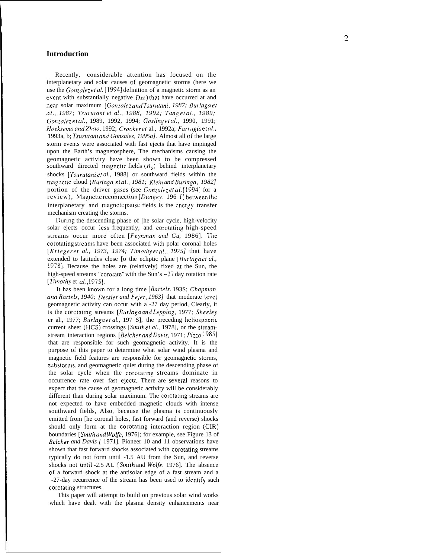# **Introduction**

Recently, considerable attention has focused on the interplanetary and solar causes of geomagnetic storms (here we use the *Gonzalez et al.* [1994] definition of a magnetic storm as an event with substantially negative  $D_{st}$ ) that have occurred at and near solar maximum [Gonzalez and Tsurutani, 1987; Burlaga et al., *1987; 7Juni(ani et al., 1988, 1992; Tang* ef al., *1989;* Gonzalez et al., 1989, 1992, 1994; Gosling et al., 1990, 1991; *floeksema and Zlmo,* 1992; Crooker et al., 1992a; *Farrugia el al.,* 1993a, b; *Tsurukmi and Gonzalez, 1995a].* Almost all of the large storm events were associated with fast ejects that have impinged upon the Earth's magnetosphere, The mechanisms causing the geomagnetic activity have been shown to be compressed southward directed magnetic fields  $(B<sub>s</sub>)$  behind interplanetary shocks *[Tsurutani et al., 1988]* or southward fields within the magnetic cloud *[Burlaga, et al., 1981; Klein and Burlaga, 1982]* portion of the driver gases (see *Gorrzale: ef al.* [1994] for a review), Magnetic reconnection [Dungey, 196  $l$ ] between the interplanetary and magnetopause fields is the energy transfer mechanism creating the storms.

I)uring the descending phase of [he solar cycle, high-velocity solar ejects occur less frequently, and corotating high-speed streams occur more often *[Feyrrrnm and Gu,* 1986]. I'he corotating streams have been associated with polar coronal holes *[Krieger et al., 1973, 1974; Tirnorh,v er al,, 1975]* that have extended to latitudes close [o the ecliptic plane *[Burlagaet al., 1978].* Because the holes are (relatively) fixed ar the Sun, the high-speed streams "corotate" with the Sun's ~27 day rotation rate *[Timothy* et al,, 1975].

It has been known for a long time [Bartels, 193S; *Chapman and Ilar!els, 1940; Dessler and Fejer, 1963]* that moderate level geomagnetic activity can occur with a -27 day period, Clearly, it is the corotating streams [Burlaga and Lepping, 1977; Sheeley er al., 1977; *Burlaga et al.*, 197 S], the preceding heliospheric current sheet (HCS) crossings *[Smith et al.,* 1978], or the strearnstream interaction regions [Belcher and Davis, 1971; Pizzo, 1985] that are responsible for such geomagnetic activity. It is the purpose of this paper to determine what solar wind plasma and magnetic field features are responsible for geomagnetic storms, substorms, and geomagnetic quiet during the descending phase of the solar cycle when the corotating streams dominate in occurrence rate over fast ejccta. There are severai reasons to expect that the cause of geomagnetic activity will be considerably different than during solar maximum. The corotating streams are not expected to have embedded magnetic clouds with intense southward fields, Also, because the plasma is continuously emitted from [he coronal holes, fast forward (and reverse) shocks should only form at the corotating interaction region (CIR) boundaries *[Srnifh and Woffe,* 1976]; for example, see Figure 13 of *Belcher and Davis [* 1971]. Pioneer 10 and 11 observations have shown that fast forward shocks associated with corotating streams typically do not form until -1.5 AU from the Sun, and reverse shocks not until -2.5 AU [Smirh and Wolfe, 1976]. The absence of a forward shock at the antisolar edge of a fast stream and a -27-day recurrence of the stream has been used to identify such corotating structures.

This paper will attempt to build on previous solar wind works which have dealt with the plasma density enhancements near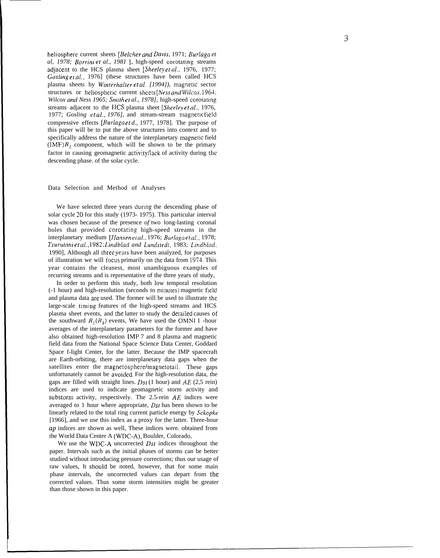heliosphere current sheets [Belcher and Davis, 1971; Burlaga et *al, 1978; Borrini et al., 1981* ], high-speed corotating streams adjacent to the HCS plasma sheet [Sheeley et al., 1976, 1977; Gosling et al., 1976] (these structures have been called HCS plasma sheets by *Winterhalter et al. [1994]*), magnetic sector structures or heliospheric current sheets [Ness and Wilcox, 1964; *Wilcox and Ness 1965; Smithet al., 1978], high-speed corotating* streams adjacent to the HCS plasma sheet [Sheeley et al., 1976, 1977; *Gosling ef al., 1976],* and stream-stream magnetic field compressive effects *[Burlagaet d., 1977, 1978]*. The purpose of this paper will be to put the above structures into context and to specifically address the nature of the interplanetary magnetic field  $(\overline{IMF})B$ , component, which will be shown to be the primary factor in causing geomagnetic activity/lack of activity during the descending phase. of the solar cycle.

# Data Selection and Method of Analyses

We have selected three years during the descending phase of solar cycle 20 for this study (1973- 1975). This particular interval was chosen because of the presence *of* two long-lasting coronal holes that provided corotating high-speed streams in the interplanetary medium [Hansen et al., 1976; Burlaga et al., 1978; *Tsurutani et al.,* 1982; *Lindblad and Lundstedt, 1983; Lindblad,* 1990], Although all three years have been analyzed, for purposes of illustration we will focus primarily on the data from 1974. This year contains the cleanest, most unambiguous examples of recurring streams and is representative of the three years of study,

In order to perform this study, both low temporal resolution (-1 hour) and high-resolution (seconds to minutes) magnetic field and plasma data are used. The former will be used to illustrate the large-scale timing features of the high-speed streams and HCS plasma sheet events, and the latter to study the delailed causes of the southward  $B_r(B_s)$  events, We have used the OMNI 1 -hour averages of the interplanetary parameters for the former and have also obtained high-resolution IMP 7 and 8 plasma and magnetic field data from the National Space Science Data Center, Goddard Space f-light Center, for the latter. Because the IMP spacecraft are Earth-orbiting, there are interplanetary data gaps when the satellites enter the magnetosphere/magnetotail, These gaps unfortunately cannot be avoided. For the high-resolution data, the gaps are filled with straight lines. Dst (1 hour) and  $AE$  (2,5 rein) indices are used to indicate geomagnetic storm activity and substorm activity, respectively. The 2.5-rein *AE* indices were averaged to 1 hour where appropriate,  $D_{\text{S}}t$  has been shown to be linearly related to the total ring current particle energy by *Sckopke* [1966], and we use this index as a proxy for the latter. Three-hour *ap* indices are shown as well, These indices were. obtained from the World Data Center A (WDC-A), Boulder, Colorado,

We use the WDC-A uncorrected  $Dst$  indices throughout the paper. Intervals such as the initial phases of storms can be better studied without introducing pressure corrections; thus our usage of raw values, It should be noted, however, that for some main phase intervals, the uncorrected values can depart from the corrected values. Thus some storm intensities might be greater than those shown in this paper.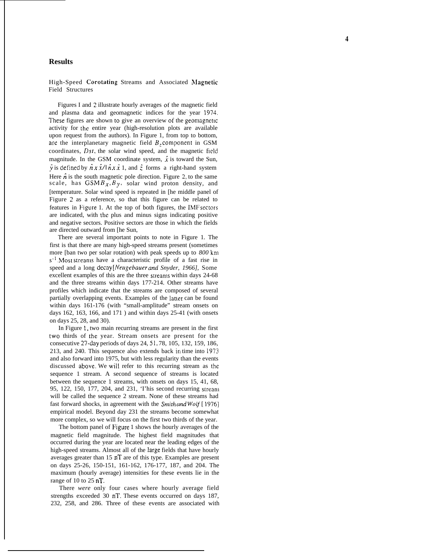# **Results**

High-Speed Corotating Streams and Associated XIagnetic Field Structures

Figures I and 2 illustrate hourly averages of the magnetic field and plasma data and geomagnetic indices for the year 1974, These figures are shown to give an overview of the geomagnetic activity for the entire year (high-resolution plots are available upon request from the authors). In Figure 1, from top to bottom, are the interplanetary magnetic field  $B$ . component in GSM coordinates, Dsr, the solar wind speed, and the magnetic field magnitude. In the GSM coordinate system,  $\hat{x}$  is toward the Sun,  $\hat{y}$  is defined by  $\hat{n} x \hat{x}/\hat{n} x \hat{x} 1$ , and  $\hat{z}$  forms a right-hand system Here  $\hat{n}$  is the south magnetic pole direction. Figure 2, to the same scale, has  $GSMB_x, B_y$ , solar wind proton density, and [temperature. Solar wind speed is repeated in [he middle panel of Figure 2 as a reference, so that this figure can be related to features in Figure 1. At the top of both figures, the IMF sectors are indicated, with the plus and minus signs indicating positive and negative sectors. Positive sectors are those in which the fields are directed outward from [he Sun,

There are several important points to note in Figure 1. The first is that there are many high-speed streams present (sometimes more [ban two per solar rotation) with peak speeds up to *800* km  $s^{-1}$ . Most streams have a characteristic profile of a fast rise in speed and a long decay *[Neu,gebuuer and Snyder, 1966],* Some excellent examples of this are the three streams within days 24-68 and the three streams within days 177-214. Other streams have profiles which indicate that the streams are composed of several partially overlapping events. Examples of the latter can be found within days 161-176 (with "small-amplitude" stream onsets on days 162, 163, 166, and 171 ) and within days 25-41 (with onsets on days 25, 28, and 30).

In Figure 1, two main recurring streams are present in the first two thirds of the year. Stream onsets are present for the consecutive 27-day periods of days 24, 51, 78, 105, 132, 159, 186, 213, and 240. This sequence also extends back in time into 1973 and also forward into 1975, but with less regularity than the events discussed above. We will refer to this recurring stream as the sequence 1 stream. A second sequence of streams is located between the sequence 1 streams, with onsets on days 15, 41, 68, 95, 122, 150, 177, 204, and 231, 'I'his second recurring strean~ will be called the sequence 2 stream. None of these streams had fast forward shocks, in agreement with the Smith and Wolf [1976] empirical model. Beyond day 231 the streams become somewhat more complex, so we will focus on the first two thirds of the year.

The bottom panel of Figure 1 shows the hourly averages of the magnetic field magnitude. The highest field magnitudes that occurred during the year are located near the leading edges of the high-speed streams. Almost all of the large fields that have hourly averages greater than 15  $nT$  are of this type. Examples are present on days 25-26, 150-151, 161-162, 176-177, 187, and 204. The maximum (hourly average) intensities for these events lie in the range of 10 to 25 nT.

There *were* only four cases where hourly average field strengths exceeded 30 nT. These events occurred on days 187, 232, 258, and 286. Three of these events are associated with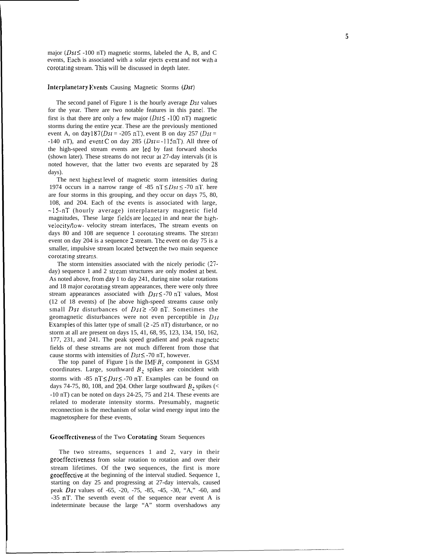major ( $Dst \leq -100$  nT) magnetic storms, labeled the A, B, and C events, Each is associated with a solar ejects event and not with a corotating stream. This will be discussed in depth later.

#### Interplanetary Events Causing Magnetic Storms (Dst)

The second panel of Figure 1 is the hourly average *Dst* values for the year. There are two notable features in this panel. The first is that there are only a few major ( $Dst \le -100$  nT) magnetic storms during the entire year. These are the previously mentioned event A, on day  $187 (Dst = -205 \text{ nT})$ , event B on day 257 ( $Dst =$  $-140$  nT), and event C on day 285 ( $Dist = -115$ nT). All three of the high-speed stream events are led by fast forward shocks (shown later). These streams do not recur at 27-day intervals (it is noted however, that the latter two events are separated by 28 days).

The next highest level of magnetic storm intensities during 1974 occurs in a narrow range of -85 nT  $\leq Dst \leq -70$  nT. here are four storms in this grouping, and they occur on days 75, 80, 108, and 204. Each of the events is associated with large, -15-nT (hourly average) interplanetary magnetic field magnitudes, These large fields are locoted in and near the highvelocityflow- velocity stream interfaces, The stream events on days 80 and 108 are sequence 1 cororating streams. The srresm event on day 204 is a sequence 2 stream. The event on day 75 is a smaller, impulsive stream located between the two main sequence corotating streams.

The storm intensities associated with the nicely periodic (27 day) sequence 1 and 2 stream structures are only modest at best. As noted above, from day 1 to day 241, during nine solar rotations and 18 major corotating stream appearances, there were only three stream appearances associated with  $Dst \le -70$  nl values, Most (12 of 18 events) of [he above high-speed streams cause only small Dst disturbances of  $Dst \geq -50$  nT. Sometimes the geomagnetic disturbances were not even perceptible in *Ds/* Examples of this latter type of small  $(2 - 25 \text{ nT})$  disturbance, or no storm at all are present on days 15, 41, 68, 95, 123, 134, 150, 162, 177, 231, and 241. The peak speed gradient and peak magnetic fields of these streams are not much different from those that cause storms with intensities of  $Dst \leq -70$  nT, however.

The top panel of Figure 1 is the  $IMF B<sub>z</sub>$  component in GSM coordinates. Large, southward  $B<sub>z</sub>$  spikes are coincident with storms with -85  $nT \leq Dst \leq -70$  nT. Examples can be found on days 74-75, 80, 108, and 204. Other large southward  $B<sub>z</sub>$  spikes (< -10 nT) can be noted on days 24-25, 75 and 214. These events are related to moderate intensity storms. Presumably, magnetic reconnection is the mechanism of solar wind energy input into the magnetosphere for these events,

# Geoeffectiveness of the Two Corotating Steam Sequences

The two streams, sequences 1 and 2, vary in their geoeffectiveness from solar rotation to rotation and over their stream lifetimes. Of the two sequences, the first is more geoeffective at the beginning of the interval studied. Sequence 1, starting on day 25 and progressing at 27-day intervals, caused peak *Dst* values of -65, -20, -75, -85, -45, -30, "A," -60, and -35 nT. The seventh event of the sequence near event A is indeterminate because the large "A" storm overshadows any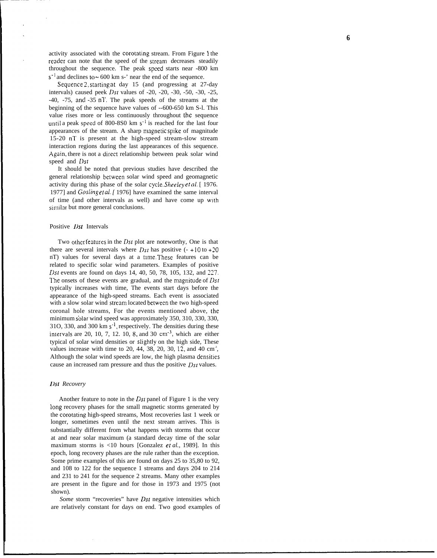activity associated with the corotating stream. From Figure 1 the reader can note that the speed of the stream decreases steadily throughout the sequence. The peak speed starts near -800 km  $s^{-1}$  and declines to ~ 600 km s-' near the end of the sequence.

Sequence 2, starting at day  $15$  (and progressing at 27-day intervals) caused peek  $Dst$  values of -20, -20, -30, -50, -30, -25, -40, -75, and -35 nl', The peak speeds of the streams at the beginning of the sequence have values of --600-650 km S-l. This value rises more or less continuously throughout the sequence until a peak speed of 800-8S0 km  $s^{-1}$  is reached for the last four appearances of the stream. A sharp magnetic spike of magnitude 15-20 nT is present at the high-speed stream-slow stream interaction regions during the last appearances of this sequence. Again, there is not a direct relationship between peak solar wind speed and Dst

It should be noted that previous studies have described the general relationship between solar wind speed and geomagnetic activity during this phase of the solar cycle. *Sheeley et al.* [ 1976. 1977] and *Gosling et al. [* 1976] have examined the same interval of time (and other intervals as well) and have come up with similar but more general conclusions.

#### Positive *Dst* Intervals

Two other features in the Dst plot are noteworthy, One is that there are several intervals where  $Dst$  has positive  $(-10 \text{ to } 120$ nT) values for several days at a time, I"hese features can be related to specific solar wind parameters. Examples of positive  $Dst$  events are found on days 14, 40, 50, 78, 105, 132, and 227. The onsets of these events are gradual, and the magnitude of  $D<sub>st</sub>$ typically increases with time, The events start days before the appearance of the high-speed streams. Each event is associated with a slow solar wind stream located between the two high-speed coronal hole streams, For the events mentioned above, the minimum solar wind speed was approximately 350, 310, 330, 330, 31O, 330, and 300 km  $s<sup>-1</sup>$ , respectively. The densities during these intervals are 20, 10, 7, 12. 10, 8, and 30 cm<sup>-3</sup>, which are either typical of solar wind densities or slightly on the high side, These values increase with time to 20, 44, 38, 20, 30, 12, and 40  $\text{cm}^3$ , Although the solar wind speeds are low, the high plasma densities cause an increased ram pressure and thus the positive  $D<sub>st</sub>$  values.

#### *I)st Recovery*

Another feature to note in the  $Dst$  panel of Figure 1 is the very long recovery phases for the small magnetic storms generated by the corotating high-speed streams, Most recoveries last 1 week or longer, sometimes even until the next stream arrives. This is substantially different from what happens with storms that occur at and near solar maximum (a standard decay time of the solar maximum storms is <10 hours [Gonzalez *er al.,* 1989]. In this epoch, long recovery phases are the rule rather than the exception. Some prime examples of this are found on days 25 to 35,80 to 92, and 108 to 122 for the sequence 1 streams and days 204 to 214 and 231 to 241 for the sequence 2 streams. Many other examples are present in the figure and for those in 1973 and 1975 (not shown).

Some storm "recoveries" have Dst negative intensities which are relatively constant for days on end. Two good examples of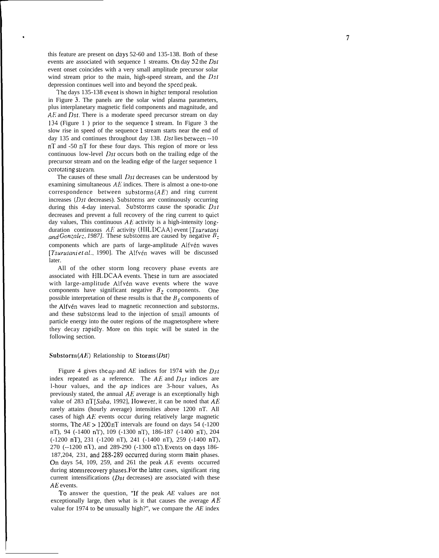this feature are present on clays 52-60 and 135-138. Both of these events are associated with sequence 1 streams. On day  $52$  the Dst event onset coincides with a very small amplitude precursor solar wind stream prior to the main, high-speed stream, and the Dst depression continues well into and beyond the speed peak.

The days 135-138 event is shown in higher temporal resolution in Figure 3. The panels are the solar wind plasma parameters, plus interplanetary magnetic field components and magnitude, and  $AE$  and  $Dst$ . There is a moderate speed precursor stream on day 134 (Figure 1 ) prior to the sequence 1 stream. In Figure 3 the slow rise in speed of the sequence 1 stream starts near the end of day 135 and continues throughout day 138. Dst lies between -- 10 nT and -50 n'f' for these four days. This region of more or less continuous low-level Dsr occurs both on the trailing edge of the precursor stream and on the leading edge of the larger sequence 1 corotating stream.

The causes of these small *Dst* decreases can be understood by examining simultaneous  $AE$  indices. There is almost a one-to-one correspondence between substorms  $(AE)$  and ring current increases ( $Dst$  decreases). Substorms are continuously occurring during this 4-day interval. Substorrns cause the sporadic *Dst* decreases and prevent a full recovery of the ring current to quiet day values, This continuous *AE* activity is a high-intensity longduration continuous AE activity (HIL. DCAA) event [Tsurutani *and Gonzalez, 1987].* These substorms are caused by negative  $B_2$ . components which are parts of large-amplitude Alfvén waves *[Tsurutani et al., 1990].* The Alfvén waves will be discussed later.

All of the other storm long recovery phase events are associated with HIL, DCAA events. I'hese in turn are associated with large-amplitude Alfvén wave events where the wave components have significant negative  $B_z$  components. One possible interpretation of these results is that the  $B_s$  components of the Alfvén waves lead to magnetic reconnection and substorms, and these substorms lead to the injection of small amounts of particle energy into the outer regions of the magnetosphere where they decay rapidly. More on this topic will be stated in the following section.

# Substorm *(AE)* Relationship to Storms (Dst)

Figure 4 gives the ap and *AE* indices for 1974 with the *Dsr* index repeated as a reference. The  $AE$  and  $Dst$  indices are l-hour values, and the ap indices are 3-hour values, As previously stated, the annual  $AE$  average is an exceptionally high value of 283 nT [Saba, 1992], }Iowever, it can be noted that *AE* rarely attains (hourly average) intensities above 1200 nT. All cases of high  $AE$  events occur during relatively large magnetic storms, The  $AE > 1200$  nT intervals are found on days 54 (-1200) nT), 94 (-1400 nT), 109 (-1300 nT), 186-187 (-1400 nT), 204 (-1200 nT), 231 (-1200 nT), 241 (-1400 nT), 259 (-1400 nT), 270 (--1200 nT), and 289-290 (-1300 nT). Events on days 186- $187,204$ ,  $231$ , and  $288-289$  occurred during storm main phases. On days 54, 109, 259, and 261 the peak  $AE$  events occurred during storm recovery phases. For the latter cases, significant ring current intensifications *(Dst* decreases) are associated with these *AE* events.

To answer the question, '"If the peak *AE* values are not exceptionally large, then what is it that causes the average  $AE$ value for 1974 to be unusually high?", we compare the *AE* index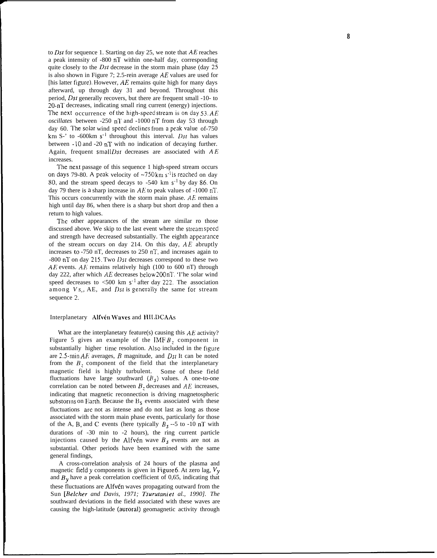to Dst for sequence 1. Starting on day 25, we note that *AE* reaches a peak intensity of -800 nT within one-half day, corresponding quite closely to the *Dst* decrease in the storm main phase (day 25 is also shown in Figure 7; 2.5-rein average *AE* values are used for [his latter figure). However,  $AE$  remains quite high for many days afterward, up through day 31 and beyond. Throughout this period, Dst generally recovers, but there are frequent small -10- to 20-nT decreases, indicating small ring current (energy) injections. The next occurrence of the high-speed stream is on day 53. *AE oscillates* between -250 nT and -1000 nT from day 53 through day 60. The solar wind speed declines from a peak value of-750 km S-' to -600km  $s^{-1}$  throughout this interval. Dst has values between -10 and -20 nT with no indication of decaying further. Again, frequent small *Dst* decreases are associated with *AE* increases.

The next passage of this sequence 1 high-speed stream occurs on days 79-80. A peak velocity of  $-750 \text{ km s}^{-1}$  is reached on day 80, and the stream speed decays to -540 km s-l by day 86. On day 79 there is a sharp increase in *AE* to peak values of -1000 nT. This occurs concurrently with the storm main phase.  $AE$  remains high until day 86, when there is a sharp but short drop and then a return to high values.

The other appearances of the stream are similar ro those discussed above. We skip to the last event where the stream speed and strength have decreased substantially. The eighth appearance of the stream occurs on day 214. On this day, *AE* abruptly increases to -750 nT, decreases to 250 nT, and increases again to  $-800$  nT on day 215. Two *Dst* decreases correspond to these two *AE* events. *AE* remains relatively high (100 to 600 nT) through day 222, after which AE decreases below 200nT. The solar wind speed decreases to  $\leq 500$  km s<sup>-1</sup> after day 222. The association among  $V_{s_{w}}$ , AE, and *Dst* is generally the same for stream sequence 2.

#### Interplanetary Alfvén Waves and HILDCAAs

What are the interplanetary feature(s) causing this  $AE$  activity? Figure 5 gives an example of the IMF  $B<sub>z</sub>$  component in substantially higher time resolution. Also included in the figure are  $2.5$ -min  $AE$  averages,  $B$  magnitude, and  $Dst$  It can be noted from the  $B<sub>z</sub>$  component of the field that the interplanetary magnetic field is highly turbulent. Some of these field fluctuations have large southward  $(B_5)$  values. A one-to-one correlation can be noted between B: decreases and *AE* increases, indicating that magnetic reconnection is driving rnagnetospheric substorms on Farth. Because the  $B_s$  events associated wirh these fluctuations arc not as intense and do not last as long as those associated with the storm main phase events, particularly for those of the A, B, and C events (here typically  $B_5$  --5 to -10 nT with durations of -30 min to -2 hours), the ring current particle injections caused by the Alfvén wave  $B_s$  events are not as substantial. Other periods have been examined with the same general findings,

A cross-correlation analysis of 24 hours of the plasma and magnetic field y components is given in Figure 6. At zero lag,  $V_y$ and  $B_v$  have a peak correlation coefficient of 0,65, indicating that these fluctuations are Alfvén waves propagating outward from the Sun *[Belcher and Davis, 1971; Tsurutani et al., 1990]. The* southward deviations in the field associated with these waves are causing the high-latitude (auroral) geomagnetic activity through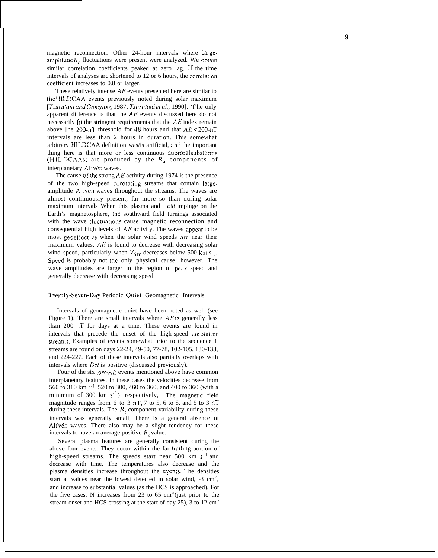magnetic reconnection. Other 24-hour intervals where largeamplitude  $B<sub>z</sub>$  fluctuations were present were analyzed. We obtain similar correlation coefficients peaked at zero lag. If the time intervals of analyses arc shortened to 12 or 6 hours, the correlation coefficient increases to 0.8 or larger.

These relatively intense *AE* events presented here are similar to the HIL.DCAA events previously noted during solar maximum [Tsurutani and Gonzalez, 1987; Tsurutani et al., 1990]. 'f'he only apparent difference is that the *AE* events discussed here do not necessarily fit the stringent requirements that the  $AE$  index remain above [he 200-nT threshold for 48 hours and that  $AE < 200$ -nT intervals are less than 2 hours in duration. This somewhat arbitrary HILDCAA definition was/is artificial, and the important thing here is that more or less continuous auororal substorms (HILDCAAs) are produced by the  $B_s$  components of interplanetary Alfvén waves.

The cause of the strong *AL'* activity during 1974 is the presence of the two high-speed corotating streams that contain largeamplitude Alfvén waves throughout the streams. The waves are almost continuously present, far more so than during solar maximum intervals When this plasma and field impinge on the Earth's magnetosphere, the southward field turnings associated with the wave fluctuations cause magnetic reconnection and consequential high levels of *AE:* activity. The waves appear to be most geoeffcctive when the solar wind speeds are near their maximum values,  $AE$  is found to decrease with decreasing solar wind speed, particularly when  $V_{SW}$  decreases below 500 km s-[. Speed is probably not the only physical cause, however. The wave amplitudes are larger in the region of peak speed and generally decrease with decreasing speed.

# Twenty-Seven-Day Periodic Quiet Geomagnetic Intervals

Intervals of geomagnetic quiet have been noted as well (see Figure 1). There are small intervals where  $AE$  is generally less than 200 nT for days at a time, These events are found in intervals that precede the onset of the high-speed corotating streams. Examples of events somewhat prior to the sequence 1 streams are found on days 22-24, 49-50, 77-78, 102-105, 130-133, and 224-227. Each of these intervals also partially overlaps with intervals where  $Dist$  is positive (discussed previously).

Four of the six  $low·AE$  events mentioned above have common interplanetary features, In these cases the velocities decrease from 560 to 310 km s'1, 520 to 300, 460 to 360, and 400 to 360 (with a minimum of 300 km  $s^{-1}$ ), respectively, The magnetic field magnitude ranges from 6 to 3 nT, 7 to 5, 6 to 8, and 5 to 3 nT during these intervals. The  $B<sub>z</sub>$  component variability during these intervals was generally small, There is a general absence of Alfvén waves. There also may be a slight tendency for these intervals to have an average positive  $B$ , value.

Several plasma features are generally consistent during the above four events. They occur within the far trailing portion of high-speed streams. The speeds start near 500 km s<sup>-1</sup> and decrease with time, The temperatures also decrease and the plasma densities increase throughout the eyents. The densities start at values near the lowest detected in solar wind, -3 cm<sup>3</sup>, and increase to substantial values (as the HCS is approached). For the five cases, N increases from 23 to 65 cm<sup>3</sup> (just prior to the stream onset and HCS crossing at the start of day 25), 3 to 12 cm<sup>-3</sup>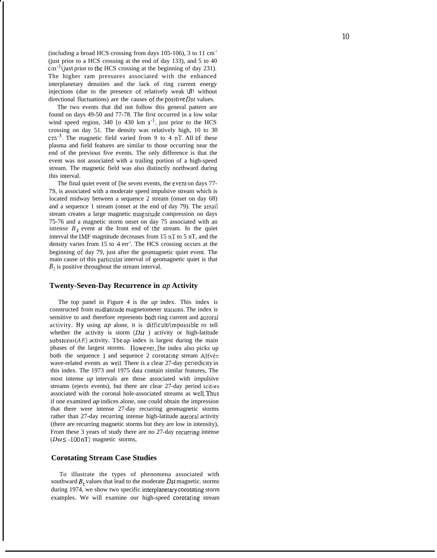(including a broad HCS crossing from days 105-106), 3 to 11 cm-3 (just prior to a HCS crossing at the end of day 133), and 5 to 40  $\text{cm}^{-3}$  (just prior to the HCS crossing at the beginning of day 231). The higher ram pressures associated with the enhanced interplanetary densities and the lack of ring current energy injections (due to the presence of relatively weak  $|B|$  without directional fluctuations) are the causes of the positive  $Dst$  values.

The two events that did not follow this general pattern are found on days 49-50 and 77-78. The first occurred in a low solar wind speed region, 340 [o 430 km s<sup>-1</sup>, just prior to the HCS crossing on day 51. The density was relatively high, 10 to 30  $cm^{-3}$ . The magnetic field varied from 9 to 4 nT. All of these plasma and field features are similar to those occurring near the end of the previous five events. The only difference is that the event was not associated with a trailing portion of a high-speed stream. The magnetic field was also distinctly northward during this interval.

The final quiet event of [he seven events, the event on days 77-7S, is associated with a moderate speed impulsive stream which is located midway between a sequence 2 stream (onset on day 68) and a sequence 1 stream (onset at the end ot' day 79). The small stream creates a large magnetic magnitude compression on days 75-76 and a magnetic storm onset on day 75 associated with an intense  $B_{\rm s}$  event at the front end of the stream. In the quiet interval the IMF magnitude decreases from 15 nT to 5 nT, and the density varies from 15 to 4 err<sup>3</sup>. The HCS crossing occurs at the beginning of day 79, just after the geomagnetic quiet event. The main cause of this particular interval of geomagnetic quiet is that  $B<sub>z</sub>$  is positive throughout the stream interval.

# **Twenty-Seven-Day Recurrence in** *up* **Activity**

The top panel in Figure 4 is the *up* index. This index is constructed from midlatitude magnetometer stauons. The index is sensitive to and therefore represents both ring current and auroral activity. By using *ap* alone, it is difticult/impossible ro tell whether the activity is storm  $(Dst)$  activity or high-latitude substorm  $(AE)$  activity. The *ap* index is largest during the main phases of the largest storms. However, [he index also picks up both the sequence 1 and sequence 2 corotating stream Alfvén wave-related events as well. There is a clear 27-day periodicity in this index. The 1973 and 1975 data contain similar features, The most intense *up* intervals are those associated with impulsive streams (ejects events), but there are clear 27-day period icities associated with the coronal hole-associated streams as well. Thus if one examined *ap* indices alone, one could obtain the impression that there were intense 27-day recurring geomagnetic storms rather than 27-day recurring intense high-latitude auroral activity (there are recurring magnetic storms but they are low in intensity), From these 3 years of study there are no 27-day recurring intense  $(Dst \le -100 \text{ nT})$  magnetic storms,

# **Corotating Stream Case Studies**

To illustrate the types of phenomena associated with southward  $B<sub>z</sub>$  values that lead to the moderate Dst magnetic. storms during 1974, we show two specific interplanetary corotating storm examples. We will examine our high-speed corotating stream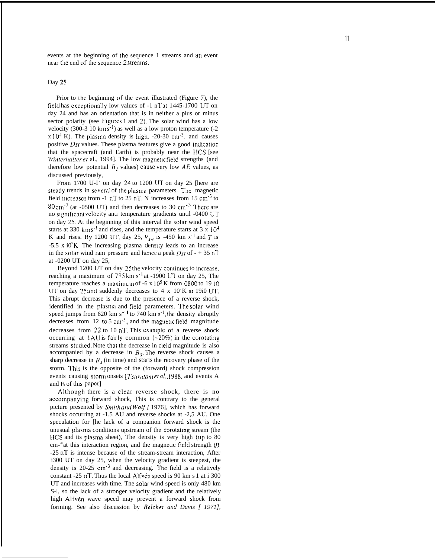events at the beginning of the sequence 1 streams and an event near the end of the sequence 2 streoms.

# Day *25*

Prior to the beginning of the event illustrated (Figure 7), the field has exceptionally low values of  $-1$  nT at 1445-1700 UT on day 24 and has an orientation that is in neither a plus or minus sector polarity (see Figures 1 and 2). The solar wind has a low velocity (300-3 10 km s<sup>-1</sup>) as well as a low proton temperature (-2  $x 10<sup>4</sup>$  K). The plasma density is high, -20-30 cm<sup>-3</sup>, and causes positive  $Dst$  values. These plasma features give a good indication that the spacecraft (and Earth) is probably near the HCS [see Winterhalter et al., 1994]. The low magnetic field strengths (and therefore low potential  $B_z$  values) cause very low  $AE$  values, as discussed previously,

From 1700 U-I' on day 24 to 1200 UT on day 25 [here are steady trends in several of the plasma parameters. The magnetic field increases from -1  $nT$  to 25 nT. N increases from 15 cm<sup>-3</sup> to  $80 \text{ cm}^{-3}$  (at -0500 UT) and then decreases to 30 cm<sup>-3</sup>. There are no significant velocity anti temperature gradients until -0400 UT on day 25. At the beginning of this interval the soiar wind speed starts at 330 km s<sup>-1</sup> and rises, and the temperature starts at 3 x  $10<sup>4</sup>$ K and rises. By 1200 UT, day 25,  $V_{sw}$  is -450 km s<sup>-1</sup> and T is  $-5.5$  x iO<sup>S</sup>K. The increasing plasma density leads to an increase in the solar wind ram pressure and hence a peak  $Dist$  of  $- + 35$  nT at -0200 UT on day 25,

Beyond 1200 UT on day 25 the velocity continues to increase, reaching a maximum of  $775 \text{ km s}^{-1}$  at -1900 UT on day 25, The temperature reaches a maximum of  $-6 \times 10^5$  K from 0800 to 19 10 UT on day 25 and suddenly decreases to 4 x  $10<sup>5</sup>$ K at 19i0 UT. This abrupt decrease is due to the presence of a reverse shock, identified in the plasma and field parameters. The solar wind speed jumps from 620 km s<sup>" 1</sup> to 740 km s<sup>-1</sup>, the density abruptly decreases from 12 to 5  $cm^{-3}$ , and the magnetic field magnitude decreases from 22 to 10 nT, This exampie of a reverse shock occurring at  $1 \text{AU}$  is fairly common  $(-20\%)$  in the corotating streams studieci, Note that the decrease in freid magnitude is aiso accompanied by a decrease in  $B<sub>s</sub>$ . The reverse shock causes a sharp decrease in  $B<sub>s</sub>$  (in time) and starts the recovery phase of the storm. This is the opposite of the (forward) shock compression events causing storm onsets [*T surutani et al.*, 1988, and events A and B of this paper.

Aithough there is a ciear reverse shock, there is no accompanying forward shock, This is contrary to the general picture presented by *SmithandWolf* [ 1976], which has forward shocks occurring at -1.5 AU and reverse shocks at -2,5 AU. One speculation for [he lack of a companion forward shock is the unusual piasma conditions upstream of the corotating stream (the HCS and its plasma sheet), The density is very high (up to 80)  $\text{cm}$ <sup>-3</sup> at this interaction region, and the magnetic field strength *IB* -25 nT is intense because of the stream-stream interaction, After i300 UT on day 25, when the velocity gradient is steepest, the density is  $20-25$  cm<sup>-3</sup> and decreasing. The field is a relatively constant -25 nT. Thus the local Alfvén speed is 90 km s 1 at i 300 UT and increases with time. The soiar wind speed is oniy 480 km S-l, so the lack of a stronger velocity gradient and the relatively high Aifv&n wave speed may prevent a forward shock from forming. See also discussion by *Belcher and Davis [ 1971],*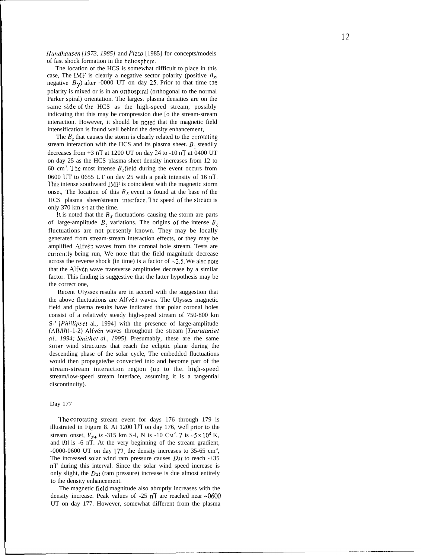*Hundhausen [1973, 1985]* and *Pizzo* [1985] for concepts/models of fast shock formation in the heliosphere.

The location of the HCS is somewhat difficult to place in this case, The IMF is clearly a negative sector polarity (positive  $B_r$ , negative  $B_y$ ) after -0000 UT on day 25. Prior to that time the polarity is mixed or is in an orthospiral (orthogonal to the normal Parker spiral) orientation. The largest plasma densities are on the same side of the HCS as the high-speed stream, possibly indicating that this may be compression due [o the stream-stream interaction. However, it should be noted that the magnetic field intensification is found well behind the density enhancement,

The  $B$ - that causes the storm is clearly related to the corotating stream interaction with the HCS and its plasma sheet.  $B<sub>z</sub>$  steadily decreases from +3 nT at 1200 UT on day 24 to -10 nT at 0400 UT on day 25 as the HCS plasma sheet density increases from 12 to 60 cm<sup>-3</sup>. The most intense  $B<sub>s</sub>$  field during the event occurs from 0600 UT to 0655 UT on day 25 with a peak intensity of 16 nT. I'hrs intense southward IMF is coincident with the magnetic storm onset, The location of this  $B_s$  event is found at the base of the HCS plasma sheer/stream interface. The speed of the stream is only 370 km s-t at the time.

It is noted that the  $B<sub>s</sub>$  fluctuations causing the storm are parts of large-amplitude  $B_z$  variations. The origins of the intense  $B_z$ fluctuations are not presently known. They may be locally generated from stream-stream interaction effects, or they may be amplified Alfvén waves from the coronal hole stream. Tests are currently being run, We note that the field magnitude decrease across the reverse shock (in time) is a factor of  $\sim$ 2.5. We also note that the Alfvén wave transverse amplitudes decrease by a similar factor. This finding is suggestive that the latter hypothesis may be the correct one,

Recent LJlysses results are in accord with the suggestion that the above fluctuations are Alfvén waves. The Ulysses magnetic field and plasma results have indicated that polar coronal holes consist of a relatively steady high-speed stream of 750-800 km S-' [Phillips ef al., 1994] with the presence of large-amplitude  $(\Delta B / B \cdot 1 - 2)$  Alfvén waves throughout the stream *[Tsurutani et*] *al., 1994; Smith er al., 1995].* Presumably, these are rhe same solar wind structures that reach the ecliptic plane during the descending phase of the solar cycle, The embedded fluctuations would then propagate/be convected into and become part of the stream-stream interaction region (up to the. high-speed stream/low-speed stream interface, assuming it is a tangential discontinuity).

#### Day 177

The corotating stream event for days 176 through 179 is illustrated in Figure 8. At 1200 UT on day 176, well prior to the stream onset,  $V_{sw}$  is -315 km S-l, N is -10 CM<sup>-3</sup>. T is  $\sim$ 5 x 10<sup>4</sup> K, and  $|B|$  is -6 nT. At the very beginning of the stream gradient, -0000-0600 UT on day 177, the density increases to  $35{\text -}65$  cm<sup>3</sup>, The increased solar wind ram pressure causes *Dst* to reach -+35 nT during this interval. Since the solar wind speed increase is only slight, the Dsr (ram pressure) increase is due almost entirely to the density enhancement.

The magnetic freld magnitude also abruptly increases with the density increase. Peak values of  $-25$  nT are reached near  $\sim 0600$ UT on day 177. However, somewhat different from the plasma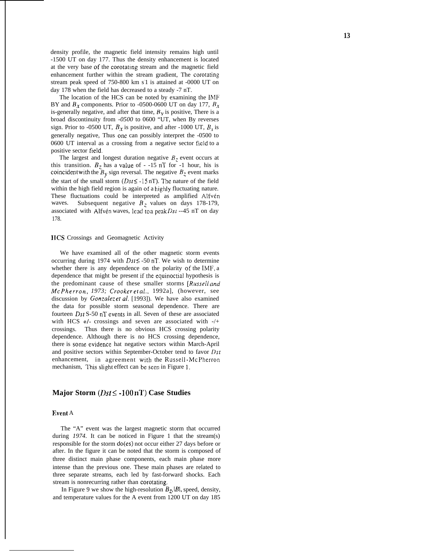density profile, the magnetic field intensity remains high until -1500 UT on day 177. Thus the density enhancement is located at the very base of the corotating stream and the magnetic field enhancement further within the stream gradient, The cororating stream peak speed of 750-800 km s 1 is attained at -0000 UT on day 178 when the field has decreased to a steady -7 nT.

The location of the HCS can be noted by examining the INIF BY and  $B_x$  components. Prior to -0500-0600 UT on day 177,  $B_x$ is-generally negative, and after that time,  $B<sub>y</sub>$  is positive, There is a broad discontinuity from *-0500* to 0600 "UT, when By reverses sign. Prior to -0500 UT,  $B<sub>r</sub>$  is positive, and after -1000 UT,  $B<sub>r</sub>$  is generally negative, Thus one can possibly interpret the -0500 to 0600 UT interval as a crossing from a negative sector field to a positive sector field.

The largest and longest duration negative  $B<sub>z</sub>$  event occurs at this transition.  $B_z$  has a value of - -15 nT for -1 hour, his is coincident with the  $B_y$  sign reversal. The negative  $B_z$  event marks the start of the small storm ( $Dst \le -15$  nT). The nature of the field within the high field region is again of a highly fluctuating nature. These fluctuations could be interpreted as amplified Alfvén waves. Subsequent negative  $B_z$  values on days 178-179, associated with Alfvén waves, lead to a peak  $Dst$  --45 nT on day 178.

# IICS Crossings and Geomagnetic Activity

We have examined all of the other magnetic storm events occurring during 1974 with  $Dst \leq -50$  nT. We wish to determine whether there is any dependence on the polarity of the lMF, a dependence that might be present if the equinoctial hypothesis is the predominant cause of these smaller storms [Russell and *McF'herron, 1973; Crooker* er al., 1992a], (however, see discussion by *Gonzalez et al.* [1993]). We have also examined the data for possible storm seasonal dependence. There are fourteen Dst S-50 nT events in all. Seven of these are associated with HCS  $+/-$  crossings and seven are associated with  $-/$ crossings. Thus there is no obvious HCS crossing polarity dependence. Although there is no HCS crossing dependence, there is some evidence hat negative sectors within March-April and positive sectors within September-October tend to favor  $Dst$ enhancement, in agreement with the Russell -Mc Pherron mechanism, This slight effect can be seen in Figure 1.

# **Major Storm**  $(Dst \le -100 \text{ nT})$  Case Studies

#### Event A

The "A" event was the largest magnetic storm that occurred during 1974. It can be noticed in Figure 1 that the stream(s) responsible for the storm do(es) not occur either 27 days before or after. In the figure it can be noted that the storm is composed of three distinct main phase components, each main phase more intense than the previous one. These main phases are related to three separate streams, each led by fast-forward shocks. Each stream is nonrecurring rather than corotating,

In Figure 9 we show the high-resolution  $B_2$ ,  $|B|$ , speed, density, and temperature values for the A event from 1200 UT on day 185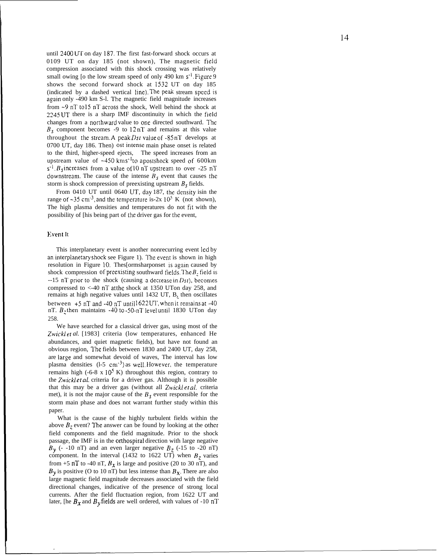until  $2400$  UT on day 187. The first fast-forward shock occurs at 0109 UT on day 185 (not shown), The magnetic field compression associated with this shock crossing was relatively small owing [o the low stream speed of only 490 km  $s<sup>-1</sup>$ . Figure 9 shows the second forward shock at 1532 UT on day 185 (indicated by a dashed vertical line). The peak stream speed is again only -490 km S-l. The magnetic field magnitude increases from  $\sim$ 9 nT to 15 nT across the shock, Well behind the shock at 2245 UT there is a sharp IMF discontinuity in which the field changes from a northward value to one directed southward. The  $B<sub>s</sub>$  component becomes -9 to 12 nT and remains at this value throughout the stream. A peak Dst value of -85 nT develops at 0700 UT, day 186. Then) ostintense main phase onset is related to the third, higher-speed ejects, The speed increases from an upstream value of  $\sim$ 450 km s<sup>-1</sup>to a postshock speed of 600 km  $s^{-1}$ , B<sub>s</sub> increases from a value of 10 nT upstream to over -25 nT downstream. The cause of the intense  $B<sub>s</sub>$  event that causes the storm is shock compression of preexisting upstream  $B<sub>s</sub>$  fields.

From 0410 UT until 0640 UT, day 187, the density isin the range of  $-35$  cm<sup>-3</sup>, and the temperature is-2x 10<sup>5</sup> K (not shown), The high plasma densities and temperatures do not fit with the possibility of [his being part of the driver gas for the event,

#### Event It

This interplanetary event is another nonrecurring event Icd by an interplanetary shock see Figure 1). The event is shown in high resolution in Figure 10. Thes[ormsharponset is again caused by shock compression of preexisting southward fields. The  $B_2$  field is  $-15$  nT prior to the shock (causing a decrease in  $Dst$ ), becomes compressed to  $\lt$ -40 nT at the shock at 1350 UTon day 258, and remains at high negative values until 1432 UT, B, then oscillates between  $+5$  nT and  $-40$  nT until 1622 UT, when it remains at  $-40$ nT.  $B_z$  then maintains -40 to -50-nT level until 1830 UTon day 258.

We have searched for a classical driver gas, using most of the Zwickl et al. [1983] criteria (low temperatures, enhanced He abundances, and quiet magnetic fields), but have not found an obvious region, l'he fields between 1830 and 2400 UT, day 258, are large and somewhat devoid of waves, The interval has low plasma densities  $(1-5 \text{ cm}^{-3})$  as well. However, the temperature remains high (-6-8 x  $10^5$  K) throughout this region, contrary to the *Zwickl et al,* criteria for a driver gas. Although it is possible that this may be a driver gas (without all *Zwickl er al,* criteria met), it is not the major cause of the  $B<sub>s</sub>$  event responsible for the storm main phase and does not warrant further study within this paper.

What is the cause of the highly turbulent fields within the above  $B<sub>z</sub>$  event? The answer can be found by looking at the other field components and the field magnitude. Prior to the shock passage, the IMF is in the orthospiral direction with large negative  $B_{\gamma}$  (--10 nT) and an even larger negative  $B_{\gamma}$  (-15 to -20 nT) component. In the interval (1432 to 1622 UT) when  $B_z$  varies from +5 nT to -40 nT,  $B_x$  is large and positive (20 to 30 nT), and  $B_y$  is positive (O to 10 nT) but less intense than  $B_x$ . There are also large magnetic field magnitude decreases associated with the field directional changes, indicative of the presence of strong local currents. After the field fluctuation region, from 1622 UT and later, [he  $B_x$  and  $B_y$  fields are well ordered, with values of -10 nT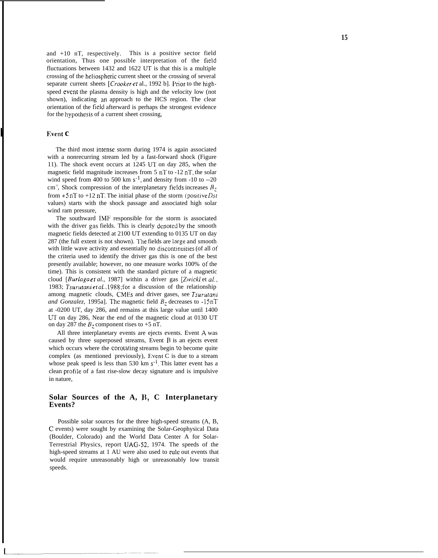and +10 nT, respectively. This is a positive sector field orientation, Thus one possible interpretation of the field fluctuations between 1432 and 1622 UT is that this is a multiple crossing of the heliosphenc current sheet or the crossing of several separate current sheets [Crooker et al., 1992 b]. Prior to the highspeed event the plasma density is high and the velocity low (not shown), indicating an approach to the HCS region. The clear orientation of the field afterward is perhaps the strongest evidence for the hypothesis of a current sheet crossing,

# <sup>I</sup> Event **c**

The third most intense storm during 1974 is again associated with a nonrecurring stream led by a fast-forward shock (Figure 11). The shock event occurs at 1245 UT on day 285, when the magnetic field magnitude increases from 5 nT to -12 nT, the solar wind speed from 400 to 500 km s $^{-1}$ , and density from -10 to --20 cm<sup>3</sup>, Shock compression of the interplanetary fields increases  $B_2$ from  $+5nT$  to  $+12nT$ . The initial phase of the storm (positive Dst values) starts with the shock passage and associated high solar wind ram pressure,

The southward IMF responsible for the storm is associated with the driver gas fields. This is clearly denoted by the smooth magnetic fields detected at 2100 UT extending to 0135 UT on day 287 (the full extent is not shown). The fields are large and smooth with little wave activity and essentially no discontinuities (of all of the criteria used to identify the driver gas this is one of the best presently available; however, no one measure works 100% of the time). This is consistent with the standard picture of a magnetic cloud *[Burlaga et al., 1987]* within a driver gas *[Zwickl et al.,* 1983; Tsurutani et al., 1988; for a discussion of the relationship among magnetic clouds, CLMES and driver gases, see *Tsurutani* and Gonzalez, 1995a]. The magnetic field  $B_7$  decreases to -15nT at -0200 UT, day 286, and remains at this large value until 1400 UT on day 286, Near the end of the magnetic cloud at 0130 UT on day 287 the  $B_7$ -component rises to +5 nT.

All three interplanetary events are ejects events. Event A was caused by three superposed streams, Event  $\overline{B}$  is an ejects event which occurs where the corotating streams begin {o become quite complex (as mentioned previously), Event C is due to a stream whose peak speed is less than 530 km  $s^{-1}$ . This latter event has a clean profrlc of a fast rise-slow decay signature and is impulsive in nature,

# **Solar Sources of the A, B, C Interplanetary Events?**

Possible solar sources for the three high-speed streams (A, B, C events) were sought by examining the Solar-Geophysical Data (Boulder, Colorado) and the World Data Center A for Solar-Terrestrial Physics, report UAG-52, 1974. The speeds of the high-speed streams at 1 AU were also used to rule out events that would require unreasonably high or unreasonably low transit speeds.

~----------------- -----------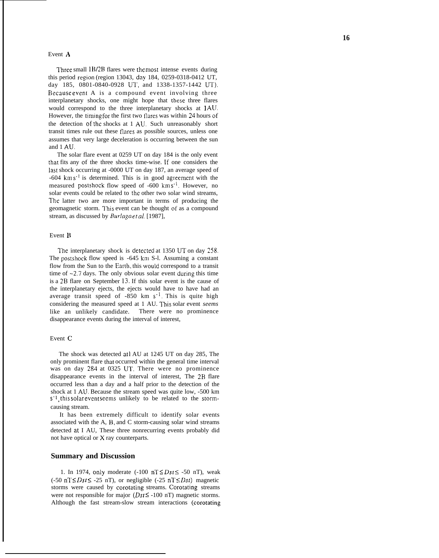#### Event A

Three small lB/2B flares were the most intense events during this period region (region 13043, day 184, 0259-0318-0412 UT, day 185, 0801-0840-0928 UT, and 1338-1357-1442 UT). Because event A is a compound event involving three interplanetary shocks, one might hope that these three flares would correspond to the three interplanetary shocks at <sup>1</sup> ALJ. However, the timing for the first two flares was within 24 hours of the detection of the shocks at 1 AU, Such unreasonably short transit times rule out these flares as possible sources, unless one assumes that very large deceleration is occurring between the sun and 1 AU.

The solar flare event at 0259 UT on day 184 is the only event that fits any of the three shocks time-wise. If one considers the last shock occurring at -0000 UT on day 187, an average speed of  $-604 \text{ km s}^{-1}$  is determined. This is in good agreement with the measured postshock flow speed of -600 km s<sup>-1</sup>. However, no solar events could be related to the other two solar wind streams, The latter two are more important in terms of producing the geomagnetic storm. This event can be thought of as a compound stream, as discussed by Burlaga et al. [1987],

#### Event B

The interplanetary shock is detected at 1350 UT on day 258. The postshock flow speed is -645 km S-l. Assuming a constant flow from the Sun to the Earth, this would correspond to a transit time of  $\sim$ 2.7 days. The only obvious solar event during this time is a 2B flare on September 13. If this solar event is the cause of the interplanetary ejects, the ejects would have to have had an average transit speed of  $-850 \text{ km s}^{-1}$ . This is quite high considering the measured speed at 1 AU. 'IIis solar event *seems* like an unlikely candidate. There were no prominence disappearance events during the interval of interest,

#### Event C

The shock was detected at 1 AU at 1245 UT on day 285, The only prominent flare that occurred within the general time interval was on day 284 at 0325 UT, There were no prominence disappearance events in the interval of interest, The 2B flare occurred less than a day and a half prior to the detection of the shock at 1 AU. Because the stream speed was quite low, -500 km s<sup>1</sup>, this solar event seems unlikely to be related to the stormcausing stream.

It has been extremely difficult to identify solar events associated with the A, B, and C storm-causing solar wind streams detected at I AU, These three nonrecurring events probably did not have optical or X ray counterparts.

# **Summary and Discussion**

1. In 1974, only moderate  $(-100 \text{ nT} \leq Dst \leq -50 \text{ nT})$ , weak  $(-50 \text{ nT} \leq Dst \leq -25 \text{ nT})$ , or negligible  $(-25 \text{ nT} \leq Dst)$  magnetic storms were caused by corotating streams. Corotating streams were not responsible for major  $(Dst \le -100 \text{ nT})$  magnetic storms. Although the fast stream-slow stream interactions (corotating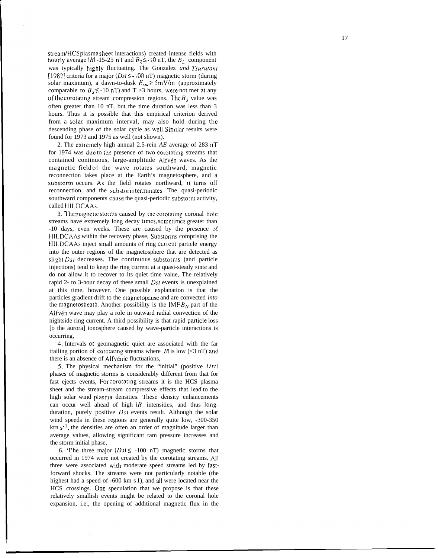stream/HCS plasma sheet interactions) created intense fields with hourly average  $|B|$  -15-25 nT and  $B_z \leq 10$  nT, the  $B_z$  component was typically highly fluctuating. The Gonzalez *and Tsurutani [1987]* criteria for a major (Dst S -100 nT) magnetic storm (during solar maximum), a dawn-to-dusk  $E_{sw} \ge 5$  mV/m (approximately comparable to  $B_5 \le -10$  nT) and T >3 hours, were not met at any of the corotating stream compression regions. The  $B_5$  value was often greater than 10 nT, but the time duration was less than 3 hours. Thus it is possible that this empirical criterion derived from a solar maximum interval, may also hold during the descending phase of the solar cycle as well. Similar results were found for 1973 and 1975 as well (not shown).

2. The extremely high annual 2.5-rein *AE* average of 283 nT for 1974 was due to the presence of two corotating streams that contained continuous, large-amplitude Alfvén waves. As the magnetic field of the wave rotates southward, magnetic reconnection takes place at the Earth's magnetosphere, and a substorrn occurs. AS the field rotates northward, it turns off reconnection, and the substorm terrmnates. The quasi-periodic southward components cause the quasi-periodic substorm activity, called HILDCAAs.

3. The magnetic storms caused by the corotating coronal hole streams have extremely long decay umes, sometimes greater than -10 days, even weeks. These are caused by the presence of HILDCAAs within the recovery phase, Substorms comprising the HILDCAAs inject small amounts of ring current particle energy into the outer regions of the magnetosphere that are detected as slight  $D_{s}$ t decreases. The continuous substorms (and particle injections) tend to keep the ring current at a quasi-steady srate and do not allow it to recover to its quiet time value, The relatively rapid 2- to 3-hour decay of these small Dsr events is unexplained at this time, however. One possible explanation is that the particles gradient drift to the magnetopause and are convected *into* the magnetosheath. Another possibility is the  $IMFB<sub>N</sub>$  part of the Alfvén wave may play a role in outward radial convection of the nightside ring current. A third possibility is that rapid particle loss [o the aurora] ionosphere caused by wave-particle interactions is occurring,

4, Intervals of geomagnetic quiet are associated with the far trailing portion of corotating streams where  $|B|$  is low (<3 nT) and there is an absence of Alfvénic fluctuations,

5, The physical mechanism for the "initial" (positive Dsr) phases of magnetic storms is considerably different from that for fast ejects events, P'or corotating streams it is the HCS plasma sheet and the stream-stream compressive effects that lead to the high solar wind plasma densities. These density enhancements can occur well ahead of high  $|B|$  intensities, and thus longduration, purely positive  $Dst$  events result. Although the solar wind speeds in these regions are generally quite low, -300-350  $km s<sup>-1</sup>$ , the densities are often an order of magnitude larger than average values, allowing significant ram pressure increases and the storm initial phase,

6. The three major ( $Dst \leq -100$  nT) magnetic storms that occurred in 1974 were not created by the corotating streams. All three were associated with moderate speed streams led by fastforward shocks. The streams were not particularly notable (the highest had a speed of -600 km s1), and all were located near the HCS crossings. One speculation that we propose is that these relatively smallish events might be related to the coronal hole expansion, i.e., the opening of additional magnetic flux in the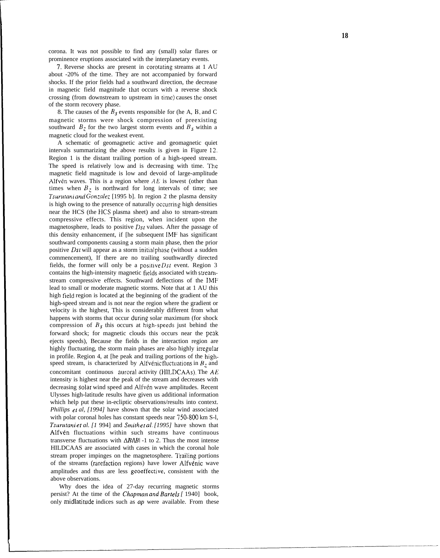corona. It was not possible to find any (small) solar flares or prominence eruptions associated with the interplanetary events.

7, Reverse shocks are present in corotating streams at 1 AU about -20% of the time. They are not accompanied by forward shocks. If the prior fields had a southward direction, the decrease in magnetic field magnitude that occurs with a reverse shock crossing (from downstream to upstream in time) causes the onset of the storm recovery phase.

8. The causes of the  $B<sub>s</sub>$  events responsible for (he A, B, and C magnetic storms were shock compression of preexisting southward  $B_7$  for the two largest storm events and  $B_5$  within a magnetic cloud for the weakest event.

A schematic of geomagnetic active and geomagnetic quiet intervals summarizing the above results is given in Figure 12. Region 1 is the distant trailing portion of a high-speed stream. The speed is relatively low and is decreasing with time. The magnetic field magnitude is low and devoid of large-amplitude Alfvén waves. This is a region where  $AE$  is lowest (other than times when  $B_2$  is northward for long intervals of time; see Tsurutani and Gonzalez [1995 b]. In region 2 the plasma density is high owing to the presence of naturally occurring high densities near the HCS (the HCS plasma sheet) and also to stream-stream compressive effects. This region, when incident upon the magnetosphere, leads to positive  $Dst$  values. After the passage of this density enhancement, if [he subsequent IMF has significant southward components causing a storm main phase, then the prior positive *Dst* will appear as a storm initial phase (without a sudden commencement), If there are no trailing southwardly directed fields, the former will only be a positive  $Dist$  event. Region 3 contains the high-intensity magnetic fields associated with streamstream compressive effects. Southward deflections of the IMF lead to small or moderate magnetic storms. Note that at 1 AU this high field region is located at the beginning of the gradient of the high-speed stream and is not near the region where the gradient or velocity is the highest, This is considerably different from what happens with storms that occur during solar maximum (for shock compression of  $B<sub>s</sub>$  this occurs at high-speeds just behind the forward shock; for magnetic clouds this occurs near the peak ejects speeds), Because the fields in the interaction region are highly fluctuating, the storm main phases are also highly irregular in profile. Region 4, at [he peak and trailing portions of the highspeed stream, is characterized by Alfvénic fluctuations in  $B<sub>z</sub>$  and concomitant continuous auroral activity (HILDCAAs). The *AE* intensity is highest near the peak of the stream and decreases with decreasing solar wind speed and Alfvén wave amplitudes. Recent Ulysses high-latitude results have given us additional information which help put these in-ecliptic observations/results into context. *Phillips ef al, [1994]* have shown that the solar wind associated with polar coronal holes has constant speeds near 750-80Q km S-l, *Tsurutani et al.* [1 994] and *Smithet al.* [1995] have shown that Alfvén fluctuations within such streams have continuous transverse fluctuations with  $\Delta B/|B| - 1$  to 2. Thus the most intense HILDCAAS are associated with cases in which the coronal hole stream proper impinges on the magnetosphere. Trailing portions of the streams (rarefaction regions) have lower Alfvénic wave amplitudes and thus are less geoeffective, consistent with the above observations.

Why does the idea of 27-day recurring magnetic storms persist? At the time of the *Chapman and Bartels* [ 1940] book, only midlatitude indices such as *ap* were available. From these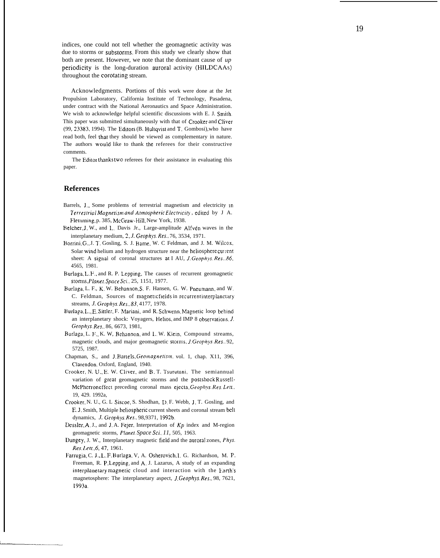indices, one could not tell whether the geomagnetic activity was due to storms or substorms, From this study we clearly show that both are present. However, we note that the dominant cause of *up* periodicity is the long-duration auroral activity (HILDCAAS) throughout the corotating stream.

Acknowledgments. Portions of this work were done at the Jet Propulsion Laboratory, California Institute of Technology, Pasadena, under contract with the National Aeronautics and Space Administration. We wish to acknowledge helpful scientific discussions with E. J. Smith This paper was submitted simultaneously with that of Crooker and *Cliver* (99, 23383, 1994). The Editors (B. Hultqvist and T. Gombosi), who have read both, feel that they should be viewed as complementary in nature. The authors would like to thank the referees for their constructive comments.

The Editor thanks two referees for their assistance in evaluating this paper.

# **References**

- Barrels, J,, Some problems of terrestrial magnetism and electricity In  $7$ errestrial Magnetism and Atmospheric Electricity, edited by J A. Flemming, p. 385, McGraw-Hill, New York, 1938.
- Belcher, J, W., and L, Davis Jr., Large-amplitude Alfven waves in the interplanetary medium, 2, *J. Geopfrys. Res.,* 76, 3534, 1971.
- Bornni, G., J. T. Gosling, S. J. Bame, W. C Feldman, and J. M. Wilcox, Solar wind helium and hydrogen structure near the heliosphere current sheet: A signal of coronal structures at I AU, J. Geophys. Res., 86, 4565, 1981.
- Burlaga, L. F., and R. P. Lepping, The causes of recurrent geomagnetic s~onns, Plonel. *Space Sci.,* 25, 1151, 1977.
- Burlaga, L. F., K. W. Behannon, S. F. Hansen, G. W. Pneumann, and W. C. Feldman, Sources of magnetic fields in recurrent interplanctary streams, *J. Geophys. Res., 83,* 4177, 1978.
- Burlaga, L., E. Sittler, F. Mariani, and R. Schwenn, Magnetic loop behind an interplanetary shock: Voyagers, Helios, and IMP 8 observations, *J. Geophys. Res.,* 86, 6673, 1981,
- Burlaga, L. F., K. W, Behannon, and L. W. Klein, Compound streams, magnetic clouds, and major geomagnetic storms, *J. Geophys. Res.*, 92, 5725, 1987.
- Chapman, S., and J. Bartels, Geomagnetism, vol. 1, chap. X11, 396, Clarendon, Oxford, England, 1940.
- Crooker, N. U,, E, W. Ciiver. and B. T. Tsurutani, The semiannual variation of great geomagnetic storms and the postshock Russell-McPherron effect preceding coronal mass ejecta, Geophys. Res, Lett., 19, 429. 1992a,
- Crooker, N. U., G. L Siscoe, S. Shodhan, D. F. Webb, J, T. Gosling, and E. J, Smith, Multiple heliosphenc current sheets and coronal stream belt dynamics, *J. Geophys. Res.,* 98,9371, 1992b.
- Dessler, A, J., and J. A. Fejer. Interpretation of  $Kp$  index and M-region geomagnetic storms, Planet. Space Sci., 11, 505, 1963.
- Dungey, J. W., Interplanetary magnetic field and the auroral zones, *f'hys. Rcs. I@rt.,* 6,47, 1961.
- Farmgia, C. J,, L, F. Burlaga, V, A. Osherovich, 1. G. Richardson, M. P. Freeman, R. P. Lepping, and A, J. Lazarus, A study of an expanding interplanetary magnetic cloud and interaction with the Larth's magnetosphere: The interplanetary aspect, *J, Geophy\$, Res,,* 98, 7621, 1993a.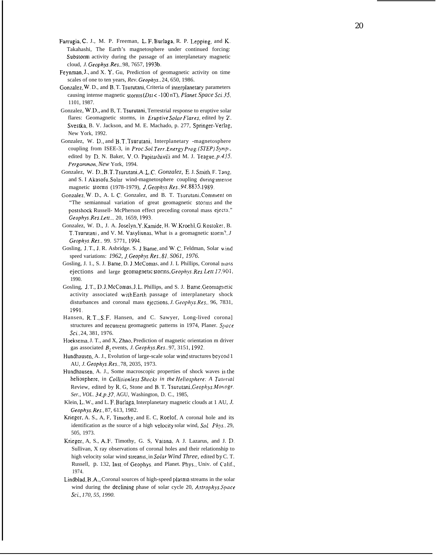- Farrugia, C. J., M. P. Freeman, L, F, Burlaga, R. P. Lepping, and K. Takahashi, The Earth's magnetosphere under continued forcing: Substorm activity during the passage of an interplanetary magnetic cloud, *J. Geophys. Res.,* 98, 7657, 1993b.
- Feynman, J., and X. Y, Gu, Prediction of geomagnetic activity on time scales of one to ten years, *Rev. Geophys.,* 24, 650, 1986.
- Gonzalez, W. D., and B. T. Tsurutani, Criteria of interplanetary parameters causing intense magnetic storms (Dst < -100 nT), Planet. Space Sci. 35, 1101, 1987.
- Gonzalez, W.D., and B, T. Tsurutani, Terrestrial response to eruptive solar flares: Geomagnetic storms, in *Eruptive Solar Flares*, edited by Z. Svestka, B. V. Jackson, and M. E. Machado, p. 277, Spnnger-Verlag, New York, 1992.
- Gonzalez, W. D., and B, T, Tsurutani, Interplanetary -magnetosphere coupling from ISEE-3, in Proc, So/. *Terr. Energy Prog. (STEP) SyrIp.,* edited by D. N. Baker, V. O. Papitashivili and M. J. Teague, p.435. *Pergarnmon, New* York, 1994.
- Gonzalez, W. D., B. T. Tsurutani, A. L.C. Gonzalez, E.J. Smith, F. Tang, and S. I Akasofu Solar wind-magnetosphere coupling during intense magnetic s{onns (1978-1979), J. *Geophys. Res., 94, 8835, 1989.*
- Gonzalez, W. D., A. L. C. Gonzalez, and B. T. Tsurutani, Comment on "The semiannual variation of great geomagnetic srorms and the postshock Russell- McPherson effect preceding coronal mass ejecta," *Geophys, Res. La..,* 20, 1659, 1993.
- Gonzalez, W. D., J. A. Joselyn, Y. Kamide, H. W. Kroehl, G. Rostoker, B. T. Tsurutani, and V. M. Vasyliunas, What is a geomagnetic storm?, *J Geophys. Rex.,* 99. 5771, 1994.
- Gosling, J. T., J. R. Asbridge. S. J. Bame, and W. C. Feldman, Solar wind speed variations: *1962, J, Geophys, Res., 81, S061, 1976.*
- Gosling, J. 1., S. J. Bame, D. J. McComas, and J. L. Phillips, Coronal mass ejections and large geomagnetic storms, *Geophys. Res. Lett.* 17,901, 1990.
- Gosling, J. T., D. J. McComas, J. L. Phillips, and S. J. Bame, Geomagnetic activity associated with Earth passage of interplanetary shock disturbances and coronal mass ejections, *J. Geophys. Res,,* 96, 7831, 1991.
- Hansen, R.T., S.F. Hansen, and C. Sawyer, Long-lived corona] structures and recurrent geomagnetic patterns in 1974, Planer. Space Sci., 24, 381, 1976.
- Hoeksema, J. T., and X, Zhao, Prediction of magnetic orientation m driver gas associated *B*<sub>-</sub> events, *J. Geophys. Res.*, 97, 3151, 1992.
- Hundhausen, A. J., Evolution of large-scale solar wind structures beyond 1 AU, *J. Geophys, Ref.,* 78, 2035, 1973.
- Hundhausen, A. J., Some macroscopic properties of shock waves in the *heliosphere, in Collisionless Shocks in the Heliosphere: A Tutorial* Review, edited by R, G, Stone and B, T. Tsurutani, *Geophys. Monogr. Ser., VOL.* 34, *p,* 37, AGU, Washington, D. C., 1985,
- Klein, L. W., and L. F. Burlaga, Interplanetary magnetic clouds at 1 AU, *J. Geophys. Res.,* 87, 613, 1982.
- Krieger, A. S., A, F, Timothy, and E. C, Roelof, A coronal hole and its identification as the source of a high velocity solar wind, Sol, Phys., 29, 505, 1973.
- Krieger, A, S., A, F, Timothy, G. S, Vaiana, A J. Lazarus, and J. D. Sullivan, X ray observations of coronal holes and their relationship to high velocity solar wind streams, in Solar Wind Three, edited by C. T. Russell, p. 132, Inst. of Geophys, and Planet. Phys., Univ. of Calif., 1974.
- Lindblad, B.A., Coronal sources of high-speed plasma streams in the solar wind during the declining phase of solar cycle 20, *Astrophys. Space Sci., 170, 55, 1990.*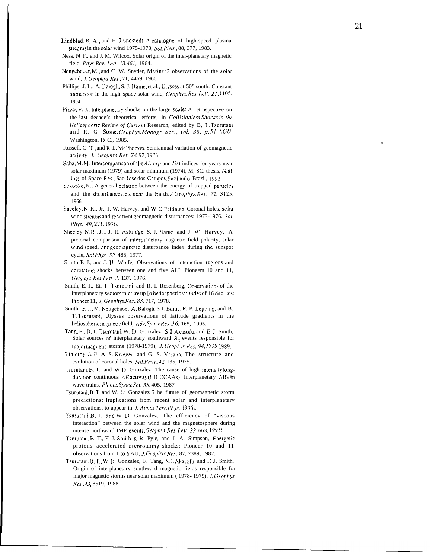- Lindblad, B, A., and H. Lundstedt, A catalogue of high-speed plasma streams in the solar wind 1975-1978, Sol. Phys., 88, 377, 1983.
- Ness, N. F., and J. M. Wilcox, Solar origin of the inter-planetary magnetic field, *Phys. Rev. Iz'rI., 13.461,* 1964.
- Neugebauer, M., and C. W. Snyder, Mariner 2 observations of the solar wind, *J. Geophys. h'es.,* 71, 4469, 1966.
- Phillips, J. L., A. Balogh, S. J. Banle, et al., LJlysses at 50" south: Constant immersion in the high space solar wind, *Geophys. Res. Lett.*, 21, 1105. 1994.
- Pizzo, V. J., Interplanetary shocks on the large scale: A retrospective on the last decade's theoretical efforts, in *Collisionless Shocks in the* Heliospheric Review of Current Research, edited by B, T. Tsurutani and R. G. Stone, *Geophys. Monogr. Ser., vol., 35, p.51, AGU.* Washington, D. C., 1985.
- Russell, C. T., and R. L. McPherron, Semiannual variation of geomagnetic activity, *J. Geop})>,s ReJ.,* 78, 92, 1973.
- Saba, M.M., Intercomparison of the AE, crp and Dst indices for years near solar maximum (1979) and solar minimum (1974), M, SC. thesis, Natl. Inst. of Space Res., Sao Jose dos Campos, Sao Paulo, Brazil, 1992.
- Sckopke, N., A general relation between the energy of trapped particles and the disturbance field near the Earth, *J. Geophys. Res., 71.* 3125, 1966,
- Sheeley, N, K., Jr., J. W. Harvey, and W. C, Feldman, Coronal holes, solar wind streams and recurrent geomagnetic disturbances: 1973-1976. Sol *Phys.,* 49, 27t. 1976.
- Sheeley, N, R,, Jr., J, R. Asbridge, S, J. Bame, and J. W. Harvey, A pictorial comparison of interplanetary magnetic field polarity, solar wind speed, and geomagnetic disturbance index during the sunspot cycle, Sol Phys, 52, 485, 1977.
- Smith, E, J., and J. H. Wolfe, Observations of interaction regions and corotating shocks between one and five ALI: Pioneers 10 and 11, *Geophys. Res. tin.,* 3, 137, 1976.
- Smith, E. J., Et. T. Tsurutani, and R. L Rosenberg, Observations of the interplanetary sector structure up [o heliospheric latitudes of 16 degrees: P!oneer 11, *J, Geophys, Res..* 83, 717, 1978.
- Smith. E.J., M. Neugebauer, A. Balogh, S.J. Bame, R. P. Lepping, and B. 1'. Tsurutani, Ulysses observations of latitude gradients in the heliosphenc magnetic field, *Adv. Space Res., 16*, 165, 1995.
- Tong, F., B, T. Tsurutani, W. 1). Gonzalez, S, 1. Akasofu. and E. J. Smith, Solar sources of interplanetary southward  $B<sub>z</sub>$  events responsible for niajor magnetic storms (1978-1979), *J. Geophys. Res., 94*, 3535, 1989.
- Timothy, A. F., A. S. Krieger, and G. S. Vaiana, The structure and evolution of coronal holes, Sol. Phys., 42, 135, 1975.
- Tsurutani, B. T.. and W.D. Gonzalez, The cause of high intensity longduration continuous *AE* activity (HILDCAAs): Interplanetary Alfvén wave trains, *P/at)el. Spoce Sci,, 35,* 405, 1987
- Tsurutani, B. T. and W. D. Gonzalez 7 he future of geomagnetic storm predictions: Implications from recent solar and interplanetary observations, to appear in *J. Atmos. Terr. Phys.*, 1995a.
- l'suru(ani, B, T., and W. D. Gonzalez, The efficiency of "viscous interaction" between the solar wind and the magnetosphere during intense northward IMF events, Geophys. Res. Lett., 22, 663, 1995b.
- Tsurutani, B. T., E. J. Smith, K. R. Pyle, and J. A. Simpson, Energetic protons accelerated at corotating shocks: Pioneer 10 and 11 observations from 1 to 6 AU, *J. Geophys. Res.*, 87, 7389, 1982.
- Tsurutani, B, T., W, D. Gonzalez, F. Tang, S. I. Akasofu, and F. J. Smith, Origin of interplanetary southward magnetic fields responsible for major magnetic storms near solar maximum ( 1978- 1979), *J, Geophys. Res.,* 93, 8519, 1988.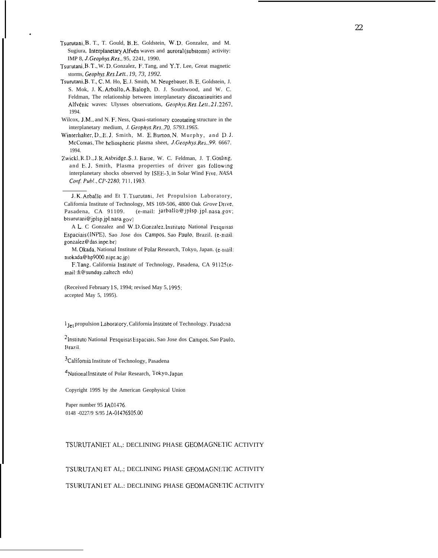Tsurutani, B. T., T. Gould, B. E. Goldstein, W. D, Gonzalez, and M. Sugiura, Interplanetary Alfvén waves and auroral (substorm) activity: IMP 8, *J. Geophys Res.,* 95, 2241, 1990.

.

- Tsurutani, B. T., W. D. Gonzalez, F. Tang, and Y. T. Lee, Great magnetic storms, *Geoph.vs. Res. htt., 19, 73, 1992.*
- Tsurotani, B. T., C. M. Ho, E. J. Smith, M. Neugebauer, B. E. Goldstein, J. S. Mok, J. K. Arballo, A. Balogh, D. J. Southwood, and W. C. Feldman, The relationship between interplanetary discontinuities and Alfvénic waves: Ulysses observations, *Geophys. Res. Lett.*, 21, 2267, 1994.

Wilcox, J. M., and N. F. Ness, Quasi-stationary corotating structure in the interplanetary medium, *J. Geophys. Res.*, 70, 5793.1965.

- Winterhalter, D., E. J. Smith, M. E. Burton, N. Murphy, and D. J. McCon~as, The heliospheric plasma sheet, *J. Geophys. Res.,* 99, 6667. 1994.
- Zwickl, R.D., J. R. Asbridge, S. J. Bame, W. C. Feldman, J. T. Gosling, and E.J. Smith, Plasma properties of driver gas following interplanetary shocks observed by lSEE-3, in Solar Wind Five, *NASA CO,IJ Publ., CF'-228O, 711,* 1983.

A L. C Gonzalez and W.D. Gonzalez, Instituto National Pesquisas Espaciais (INPE), Sao Jose dos Campos, Sao Paulo, Brazil. (e-mail. gonzalez@das.ln~ .br)

M. Okada, National Institute of Polar Research, Tokyo, Japan. (e-mail: n~okada@hp9000. nlpr.ac.jp)

F. Tang, California Institute of Technology, Pasadena, CA 91125(email: ft@sunday.caltech edu)

(Received February 1S, 1994; revised May 5, 1995; accepted May 5, 1995).

l<sub>let</sub> propulsion Laboratory, California Institute of Technology. Pasadena

<sup>2</sup>Instituto National Pesquisas Espaciais. Sao Jose dos Campos, Sao Paulo, Brazil.

<sup>3</sup>California Institute of Technology, Pasadena

<sup>4</sup>National Institute of Polar Research, Tokyo, Japan

Copyright 199S by the American Geophysical Union

Paper number 95 JAO1476. 0148 -0227/9 S/95 JA-01476\$05.00

# TSURUTANIET AL,: DECLINING PHASE GEOMAGNETIC ACTIVITY

# TSURUTANI ET AI,.; DECLINING PHASE GEOMAGNETIC ACTIVITY

TSURUTANI ET AL.: DECLINING PHASE GEOMAGNETIC ACTIVITY

J. K. Arballo and Et T. Tsurutani, Jet Propulsion Laboratory, California Institute of Technology, MS 169-506, 4800 Oak *Grove* Drive, Pasadena, CA 91109. (e-mail: jarballo@jplsp.jpl.nasa.gov; btsurutani@jplsp.jpl.nasa.gov)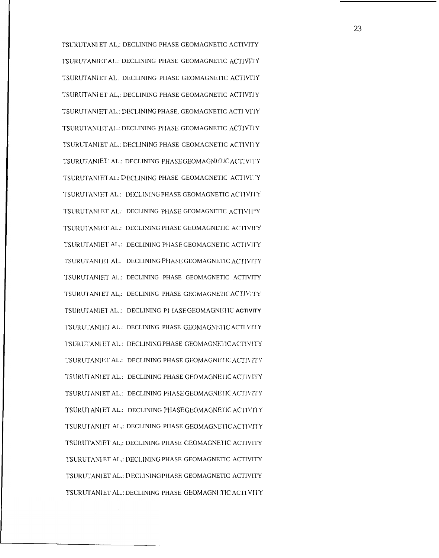TSURUTAN1 ET AL,: DECLINING PHASE GEOMAGNETIC ACTIVITY TSURUTANIET AL.: DECLINING PHASE GEOMAGNETIC ACTIVITY TSURUTANI ET AL.: DECLINING PHASE GEOMAGNETIC ACTIVITY TSURUTANI ET AL,: DECLINING PHASE GEOMAGNETIC ACTIVITY TSURUTANI ET AL.: DECLINING PHASE, GEOMAGNETIC ACTI VI'IY TSURUTANIET AL.: DECLINING PHASE GEOMAGNETIC ACTIVITY TSURUTANI ET AL.: DECLINING PHASE GEOMAGNETIC ACTIVITY TSURUTANIET' AL.: DECLINING PHASE GEOMAGNETIC ACTIVITY TSURUTANIET AI..: DECLINING PHASE GEOMAGNETIC ACTIVITY TSURUTANIET AL.: DECLINING PHASE GEOMAGNETIC ACTIVITY TSURUTANIET AL.: DECLINING PHASE GEOMAGNETIC ACTIVI ["Y TSURUTANIET AL.: DECLINING PHASE GEOMAGNETIC ACTIVITY TSURUTANIET AL,: DECLINING PHASE GEOMAGNETIC ACTIVII'Y TSURUTANI ET AL.: DECLINING <sup>PH</sup>IASE GEOMAGNETIC ACTIVITY TSURUTAN1 ET Al..: DECLINING PHASE GEOMAGNETIC ACTIVITY TSURUTANI ET AL,: DECLINING PHASE GEOMAGNETICACTIVITY TSURUTAN1 ET AL..: DECLINING P} IASF, GEOMAGNE3'lC **ACTIVITY** TSURUTANI ET AL.: DECLINING PHASE GEOMAGNETIC ACTI VITY TSURUTANI ET AL.: DECLINING PHASE GEOMAGNETIC ACTIVITY TSURUI'ANI El' AL.: DECLINING PHASE GEOMAGNEI'JC ACTl\'ITY TSURUTANIET AL.: DECLINING PHASE GEOMAGNETIC ACTIVITY TSURUTANIET AL.: DECLINING PHASE GEOMAGNETIC ACTIVITY TSURUTANIET AL.: DECLINING PHASE GEOMAGNETIC ACTIVITY TSURUTANIET AL,: DECLINING PHASE GEOMAGNETIC ACTIVITY TSURUTANIET AI.,: DECLINING PHASE GEOMAGNETIC ACTIVITY TSURUTANI ET AL,: DECI,INING PHASE GEOMAGNETIC ACTIVITY TSURUTANI ET AL.: DECLINING PHASE GEOMAGNETIC ACTIVITY TSURUTANI ET AL.: DECLINING PHASE GEOMAGNI TIC ACTI VITY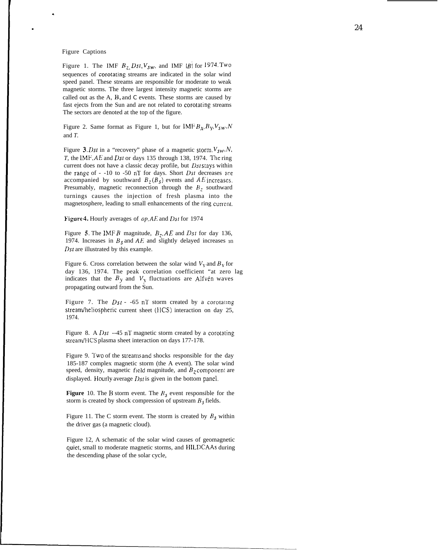Figure Captions

.

.

Figure 1. The IMF  $B_z$ , Dst,  $V_{sw}$ , and IMF *IBI* for 1974. Two sequences of corotating streams are indicated in the solar wind speed panel. These streams are responsible for moderate to weak magnetic storms. The three largest intensity magnetic storms are called out as the A, B, and C events. These storms are caused by fast ejects from the Sun and are not related to corotating streams The sectors are denoted at the top of the figure.

Figure 2. Same format as Figure 1, but for IMF  $B_x$ ,  $B_y$ ,  $V_{sw}$ , N and *T.*

Figure 3. Dst in a "recovery" phase of a magnetic storm.  $V_{SW}$ , N, *T*, the IMF, *AE* and *Dst* or days 135 through 138, 1974. The ring current does not have a classic decay profile, but *Dst* stays within the range of - -10 to -50 nT for days. Short *Dsf* decreases are accompanied by southward  $B_7(B_5)$  events and AE increases. Presumably, magnetic reconnection through the  $B_z$  southward turnings causes the injection of fresh plasma into the magnetosphere, leading to small enhancements of the ring cument.

#### **Figure 4.** Hourly averages of *ap, AE* and Dsr for 1974

Figure 5. The IMF B magnitude,  $B_7$ ,  $AE$  and  $Dst$  for day 136, 1974. Increases in  $B_s$  and  $AE$  and slightly delayed increases in Dsr are illustrated by this example.

Figure 6. Cross correlation between the solar wind  $V_y$  and  $B_y$  for day 136, 1974. The peak correlation coefficient "at zero lag indicates that the  $B_y$  and  $V_y$  fluctuations are Alfv $\epsilon$ n waves propagating outward from the Sun.

Figure 7. The *Dst* - -65 nT storm created by a corotating stream/heliospheric current sheet (HCS) interaction on day 25, 1974.

Figure 8. A  $Ds$  --45 nT magnetic storm created by a corotating stream/HCS plasma sheet interaction on days 177-178.

Figure 9. Two of the streams and shocks responsible for the day 185-187 complex magnetic storm (the A event). The solar wind speed, density, magnetic field magnitude, and  $B_z$  component are displayed. Hourly average  $Dst$  is given in the bottom panel.

**Figure** 10. The B storm event. The  $B<sub>s</sub>$  event responsible for the storm is created by shock compression of upstream  $B<sub>s</sub>$  fields.

Figure 11. The C storm event. The storm is created by  $B<sub>s</sub>$  within the driver gas (a magnetic cloud).

Figure 12, A schematic of the solar wind causes of geomagnetic quiet, small to moderate magnetic storms, and HILDCAAS during the descending phase of the solar cycle,